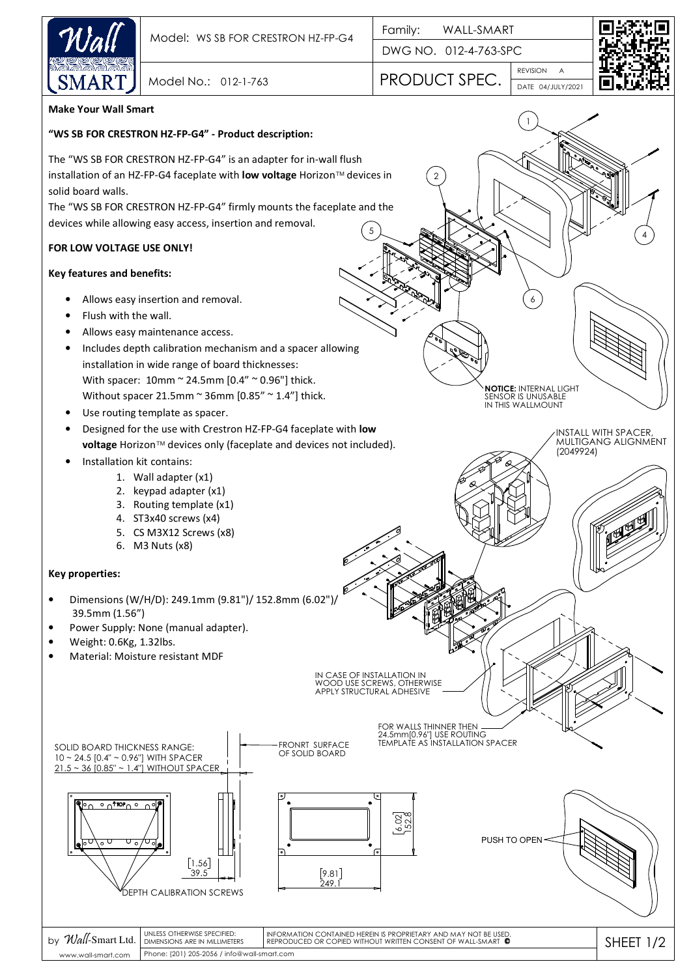

DWG NO. 012-4-763-SPC

2

REVISION A PRODUCT SPEC.



4

INSTALL WITH SPACER, MULTIGANG ALIGNMENT

(2049924)

6

**NOTICE:** INTERNAL LIGHT SENSOR IS UNUSABLE IN THIS WALLMOUNT

1

DATE 04/JULY/2021

**Make Your Wall Smart**

### **"WS SB FOR CRESTRON HZ-FP-G4" - Product description:**

The "WS SB FOR CRESTRON HZ-FP-G4" is an adapter for in-wall flush installation of an HZ-FP-G4 faceplate with **low voltage** Horizon™ devices in solid board walls.

Model No.: 012-1-763

The "WS SB FOR CRESTRON HZ-FP-G4" firmly mounts the faceplate and the devices while allowing easy access, insertion and removal. 5

## **FOR LOW VOLTAGE USE ONLY!**

### **Key features and benefits:**

- Allows easy insertion and removal.
- Flush with the wall.
- Allows easy maintenance access.
- Includes depth calibration mechanism and a spacer allowing installation in wide range of board thicknesses: With spacer: 10mm ~ 24.5mm [0.4" ~ 0.96"] thick. Without spacer 21.5mm  $\sim$  36mm [0.85"  $\sim$  1.4"] thick.
- Use routing template as spacer.
- Designed for the use with Crestron HZ-FP-G4 faceplate with **low voltage** Horizon™ devices only (faceplate and devices not included).
- Installation kit contains:
	- 1. Wall adapter (x1)
	- 2. keypad adapter (x1)
	- 3. Routing template (x1)
	- 4. ST3x40 screws (x4)
	- 5. CS M3X12 Screws (x8)
	- 6. M3 Nuts (x8)

#### **Key properties:**

- Dimensions (W/H/D): 249.1mm (9.81")/ 152.8mm (6.02")/ 39.5mm (1.56")
- Power Supply: None (manual adapter).
- Weight: 0.6Kg, 1.32lbs.
- Material: Moisture resistant MDF